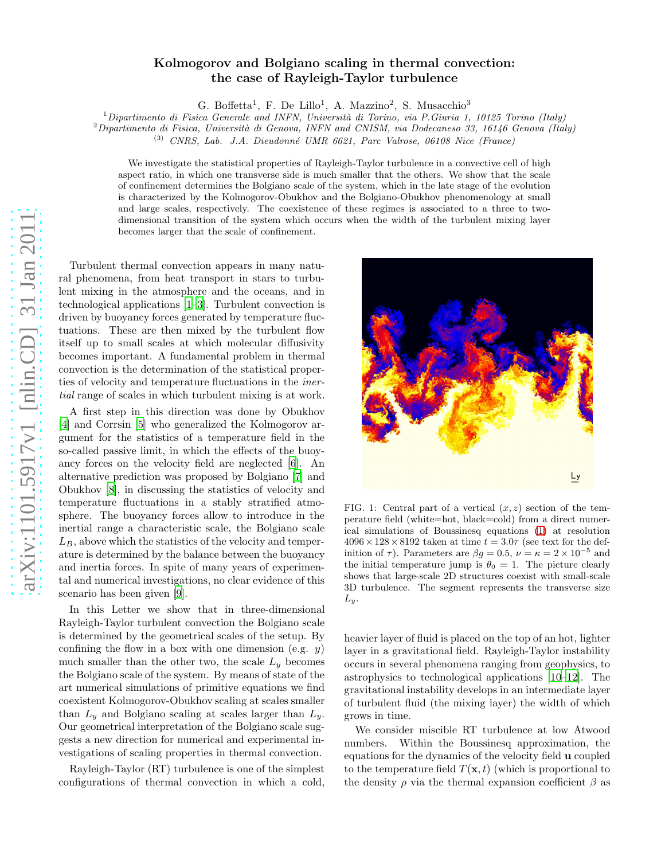## Kolmogorov and Bolgiano scaling in thermal convection: the case of Rayleigh-Taylor turbulence

G. Boffetta<sup>1</sup>, F. De Lillo<sup>1</sup>, A. Mazzino<sup>2</sup>, S. Musacchio<sup>3</sup>

<sup>1</sup>*Dipartimento di Fisica Generale and INFN, Universit`a di Torino, via P.Giuria 1, 10125 Torino (Italy)*

<sup>2</sup>*Dipartimento di Fisica, Universit`a di Genova, INFN and CNISM, via Dodecaneso 33, 16146 Genova (Italy)*

(3) *CNRS, Lab. J.A. Dieudonn´e UMR 6621, Parc Valrose, 06108 Nice (France)*

We investigate the statistical properties of Rayleigh-Taylor turbulence in a convective cell of high aspect ratio, in which one transverse side is much smaller that the others. We show that the scale of confinement determines the Bolgiano scale of the system, which in the late stage of the evolution is characterized by the Kolmogorov-Obukhov and the Bolgiano-Obukhov phenomenology at small and large scales, respectively. The coexistence of these regimes is associated to a three to twodimensional transition of the system which occurs when the width of the turbulent mixing layer becomes larger that the scale of confinement.

Turbulent thermal convection appears in many natural phenomena, from heat transport in stars to turbulent mixing in the atmosphere and the oceans, and in technological applications [\[1](#page-3-0)[–3\]](#page-3-1). Turbulent convection is driven by buoyancy forces generated by temperature fluctuations. These are then mixed by the turbulent flow itself up to small scales at which molecular diffusivity becomes important. A fundamental problem in thermal convection is the determination of the statistical properties of velocity and temperature fluctuations in the inertial range of scales in which turbulent mixing is at work.

A first step in this direction was done by Obukhov [\[4\]](#page-3-2) and Corrsin [\[5](#page-3-3)] who generalized the Kolmogorov argument for the statistics of a temperature field in the so-called passive limit, in which the effects of the buoyancy forces on the velocity field are neglected [\[6\]](#page-3-4). An alternative prediction was proposed by Bolgiano [\[7\]](#page-3-5) and Obukhov [\[8](#page-3-6)], in discussing the statistics of velocity and temperature fluctuations in a stably stratified atmosphere. The buoyancy forces allow to introduce in the inertial range a characteristic scale, the Bolgiano scale  $L_B$ , above which the statistics of the velocity and temperature is determined by the balance between the buoyancy and inertia forces. In spite of many years of experimental and numerical investigations, no clear evidence of this scenario has been given [\[9](#page-3-7)].

In this Letter we show that in three-dimensional Rayleigh-Taylor turbulent convection the Bolgiano scale is determined by the geometrical scales of the setup. By confining the flow in a box with one dimension (e.g.  $y$ ) much smaller than the other two, the scale  $L_y$  becomes the Bolgiano scale of the system. By means of state of the art numerical simulations of primitive equations we find coexistent Kolmogorov-Obukhov scaling at scales smaller than  $L_y$  and Bolgiano scaling at scales larger than  $L_y$ . Our geometrical interpretation of the Bolgiano scale suggests a new direction for numerical and experimental investigations of scaling properties in thermal convection.

Rayleigh-Taylor (RT) turbulence is one of the simplest configurations of thermal convection in which a cold,



<span id="page-0-0"></span>FIG. 1: Central part of a vertical  $(x, z)$  section of the temperature field (white=hot, black=cold) from a direct numerical simulations of Boussinesq equations [\(1\)](#page-1-0) at resolution  $4096 \times 128 \times 8192$  taken at time  $t = 3.0\tau$  (see text for the definition of  $\tau$ ). Parameters are  $\beta g = 0.5$ ,  $\nu = \kappa = 2 \times 10^{-5}$  and the initial temperature jump is  $\theta_0 = 1$ . The picture clearly shows that large-scale 2D structures coexist with small-scale 3D turbulence. The segment represents the transverse size  $L_y$ .

heavier layer of fluid is placed on the top of an hot, lighter layer in a gravitational field. Rayleigh-Taylor instability occurs in several phenomena ranging from geophysics, to astrophysics to technological applications [\[10](#page-3-8)[–12\]](#page-3-9). The gravitational instability develops in an intermediate layer of turbulent fluid (the mixing layer) the width of which grows in time.

We consider miscible RT turbulence at low Atwood numbers. Within the Boussinesq approximation, the equations for the dynamics of the velocity field u coupled to the temperature field  $T(\mathbf{x}, t)$  (which is proportional to the density  $\rho$  via the thermal expansion coefficient  $\beta$  as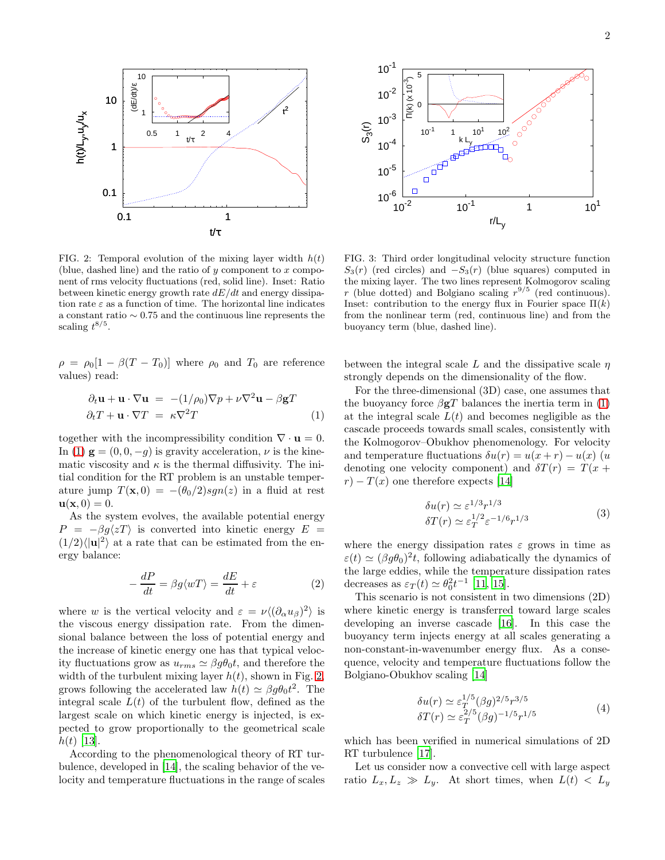

<span id="page-1-1"></span>FIG. 2: Temporal evolution of the mixing layer width  $h(t)$ (blue, dashed line) and the ratio of  $y$  component to  $x$  component of rms velocity fluctuations (red, solid line). Inset: Ratio between kinetic energy growth rate  $dE/dt$  and energy dissipation rate  $\varepsilon$  as a function of time. The horizontal line indicates a constant ratio ∼ 0.75 and the continuous line represents the scaling  $t^{8/5}$ .

 $\rho = \rho_0[1 - \beta(T - T_0)]$  where  $\rho_0$  and  $T_0$  are reference values) read:

<span id="page-1-0"></span>
$$
\partial_t \mathbf{u} + \mathbf{u} \cdot \nabla \mathbf{u} = -(1/\rho_0) \nabla p + \nu \nabla^2 \mathbf{u} - \beta \mathbf{g} T
$$
  

$$
\partial_t T + \mathbf{u} \cdot \nabla T = \kappa \nabla^2 T
$$
 (1)

together with the incompressibility condition  $\nabla \cdot \mathbf{u} = 0$ . In [\(1\)](#page-1-0)  $\mathbf{g} = (0, 0, -g)$  is gravity acceleration,  $\nu$  is the kinematic viscosity and  $\kappa$  is the thermal diffusivity. The initial condition for the RT problem is an unstable temperature jump  $T(\mathbf{x},0) = -(\theta_0/2)sgn(z)$  in a fluid at rest  $\mathbf{u}(\mathbf{x},0)=0.$ 

As the system evolves, the available potential energy  $P = -\beta g \langle zT \rangle$  is converted into kinetic energy  $E =$  $(1/2)\langle |{\bf u}|^2 \rangle$  at a rate that can be estimated from the energy balance:

<span id="page-1-4"></span>
$$
-\frac{dP}{dt} = \beta g \langle wT \rangle = \frac{dE}{dt} + \varepsilon \tag{2}
$$

where w is the vertical velocity and  $\varepsilon = \nu \langle (\partial_\alpha u_\beta)^2 \rangle$  is the viscous energy dissipation rate. From the dimensional balance between the loss of potential energy and the increase of kinetic energy one has that typical velocity fluctuations grow as  $u_{rms} \simeq \beta g \theta_0 t$ , and therefore the width of the turbulent mixing layer  $h(t)$ , shown in Fig. [2,](#page-1-1) grows following the accelerated law  $h(t) \simeq \beta g \theta_0 t^2$ . The integral scale  $L(t)$  of the turbulent flow, defined as the largest scale on which kinetic energy is injected, is expected to grow proportionally to the geometrical scale  $h(t)$  [\[13](#page-3-10)].

According to the phenomenological theory of RT turbulence, developed in [\[14\]](#page-3-11), the scaling behavior of the velocity and temperature fluctuations in the range of scales



<span id="page-1-5"></span>FIG. 3: Third order longitudinal velocity structure function  $S_3(r)$  (red circles) and  $-S_3(r)$  (blue squares) computed in the mixing layer. The two lines represent Kolmogorov scaling r (blue dotted) and Bolgiano scaling  $r^{9/5}$  (red continuous). Inset: contribution to the energy flux in Fourier space  $\Pi(k)$ from the nonlinear term (red, continuous line) and from the buoyancy term (blue, dashed line).

between the integral scale L and the dissipative scale  $\eta$ strongly depends on the dimensionality of the flow.

For the three-dimensional (3D) case, one assumes that the buoyancy force  $\beta$ **g**T balances the inertia term in [\(1\)](#page-1-0) at the integral scale  $L(t)$  and becomes negligible as the cascade proceeds towards small scales, consistently with the Kolmogorov–Obukhov phenomenology. For velocity and temperature fluctuations  $\delta u(r) = u(x+r) - u(x)$  (u denoting one velocity component) and  $\delta T(r) = T(x +$  $r - T(x)$  one therefore expects [\[14](#page-3-11)]

<span id="page-1-2"></span>
$$
\delta u(r) \simeq \varepsilon^{1/3} r^{1/3}
$$
  
\n
$$
\delta T(r) \simeq \varepsilon_T^{1/2} \varepsilon^{-1/6} r^{1/3}
$$
\n(3)

where the energy dissipation rates  $\varepsilon$  grows in time as  $\varepsilon(t) \simeq (\beta g \theta_0)^2 t$ , following adiabatically the dynamics of the large eddies, while the temperature dissipation rates decreases as  $\varepsilon_T(t) \simeq \theta_0^2 t^{-1}$  [\[11,](#page-3-12) [15\]](#page-3-13).

This scenario is not consistent in two dimensions (2D) where kinetic energy is transferred toward large scales developing an inverse cascade [\[16](#page-3-14)]. In this case the buoyancy term injects energy at all scales generating a non-constant-in-wavenumber energy flux. As a consequence, velocity and temperature fluctuations follow the Bolgiano-Obukhov scaling [\[14\]](#page-3-11)

<span id="page-1-3"></span>
$$
\delta u(r) \simeq \varepsilon_T^{1/5} (\beta g)^{2/5} r^{3/5}
$$
  
\n
$$
\delta T(r) \simeq \varepsilon_T^{2/5} (\beta g)^{-1/5} r^{1/5}
$$
\n(4)

which has been verified in numerical simulations of 2D RT turbulence [\[17](#page-3-15)].

Let us consider now a convective cell with large aspect ratio  $L_x, L_z \gg L_y$ . At short times, when  $L(t) < L_y$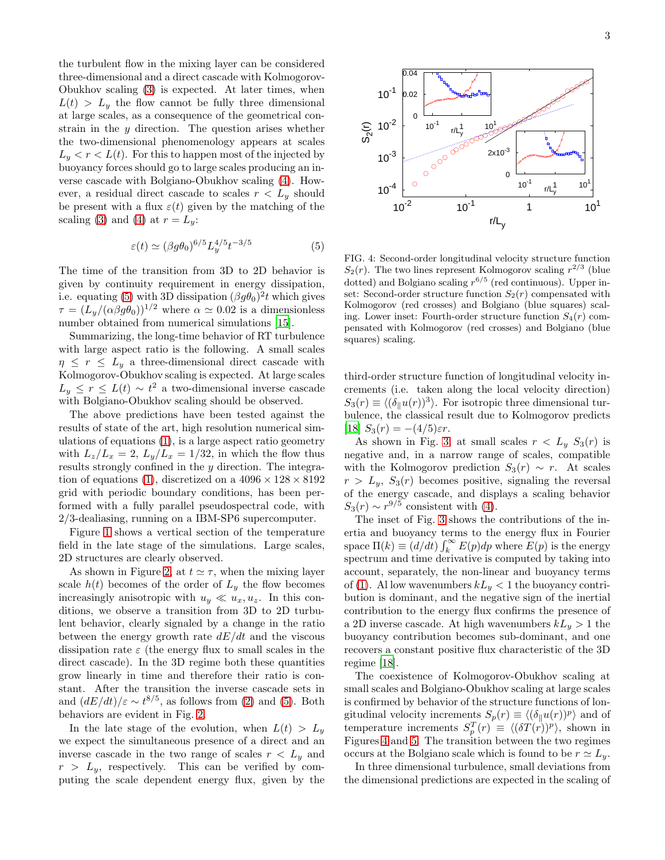the turbulent flow in the mixing layer can be considered three-dimensional and a direct cascade with Kolmogorov-Obukhov scaling [\(3\)](#page-1-2) is expected. At later times, when  $L(t) > L<sub>y</sub>$  the flow cannot be fully three dimensional at large scales, as a consequence of the geometrical constrain in the  $\gamma$  direction. The question arises whether the two-dimensional phenomenology appears at scales  $L_y < r < L(t)$ . For this to happen most of the injected by buoyancy forces should go to large scales producing an inverse cascade with Bolgiano-Obukhov scaling [\(4\)](#page-1-3). However, a residual direct cascade to scales  $r < L_y$  should be present with a flux  $\varepsilon(t)$  given by the matching of the scaling [\(3\)](#page-1-2) and [\(4\)](#page-1-3) at  $r = L_y$ :

<span id="page-2-0"></span>
$$
\varepsilon(t) \simeq (\beta g \theta_0)^{6/5} L_y^{4/5} t^{-3/5} \tag{5}
$$

The time of the transition from 3D to 2D behavior is given by continuity requirement in energy dissipation, i.e. equating [\(5\)](#page-2-0) with 3D dissipation  $(\beta g \theta_0)^2 t$  which gives  $\tau = (L_y/(\alpha \beta g \theta_0))^{1/2}$  where  $\alpha \simeq 0.02$  is a dimensionless number obtained from numerical simulations [\[15\]](#page-3-13).

Summarizing, the long-time behavior of RT turbulence with large aspect ratio is the following. A small scales  $\eta \leq r \leq L_y$  a three-dimensional direct cascade with Kolmogorov-Obukhov scaling is expected. At large scales  $L_y \leq r \leq L(t) \sim t^2$  a two-dimensional inverse cascade with Bolgiano-Obukhov scaling should be observed.

The above predictions have been tested against the results of state of the art, high resolution numerical simulations of equations [\(1\)](#page-1-0), is a large aspect ratio geometry with  $L_z/L_x = 2$ ,  $L_y/L_x = 1/32$ , in which the flow thus results strongly confined in the y direction. The integra-tion of equations [\(1\)](#page-1-0), discretized on a  $4096 \times 128 \times 8192$ grid with periodic boundary conditions, has been performed with a fully parallel pseudospectral code, with 2/3-dealiasing, running on a IBM-SP6 supercomputer.

Figure [1](#page-0-0) shows a vertical section of the temperature field in the late stage of the simulations. Large scales, 2D structures are clearly observed.

As shown in Figure [2,](#page-1-1) at  $t \approx \tau$ , when the mixing layer scale  $h(t)$  becomes of the order of  $L_y$  the flow becomes increasingly anisotropic with  $u_y \ll u_x, u_z$ . In this conditions, we observe a transition from 3D to 2D turbulent behavior, clearly signaled by a change in the ratio between the energy growth rate  $dE/dt$  and the viscous dissipation rate  $\varepsilon$  (the energy flux to small scales in the direct cascade). In the 3D regime both these quantities grow linearly in time and therefore their ratio is constant. After the transition the inverse cascade sets in and  $(dE/dt)/\varepsilon \sim t^{8/5}$ , as follows from [\(2\)](#page-1-4) and [\(5\)](#page-2-0). Both behaviors are evident in Fig. [2.](#page-1-1)

In the late stage of the evolution, when  $L(t) > L_y$ we expect the simultaneous presence of a direct and an inverse cascade in the two range of scales  $r < L_y$  and  $r > L_y$ , respectively. This can be verified by computing the scale dependent energy flux, given by the



<span id="page-2-1"></span>FIG. 4: Second-order longitudinal velocity structure function  $S_2(r)$ . The two lines represent Kolmogorov scaling  $r^{2/3}$  (blue dotted) and Bolgiano scaling  $r^{6/5}$  (red continuous). Upper inset: Second-order structure function  $S_2(r)$  compensated with Kolmogorov (red crosses) and Bolgiano (blue squares) scaling. Lower inset: Fourth-order structure function  $S_4(r)$  compensated with Kolmogorov (red crosses) and Bolgiano (blue squares) scaling.

third-order structure function of longitudinal velocity increments (i.e. taken along the local velocity direction)  $S_3(r) \equiv \langle (\delta_{\parallel} u(r))^3 \rangle$ . For isotropic three dimensional turbulence, the classical result due to Kolmogorov predicts [\[18\]](#page-3-16)  $S_3(r) = -(4/5)\varepsilon r$ .

As shown in Fig. [3,](#page-1-5) at small scales  $r < L_y S_3(r)$  is negative and, in a narrow range of scales, compatible with the Kolmogorov prediction  $S_3(r) \sim r$ . At scales  $r > L_y$ ,  $S_3(r)$  becomes positive, signaling the reversal of the energy cascade, and displays a scaling behavior  $S_3(r) \sim r^{9/5}$  consistent with [\(4\)](#page-1-3).

The inset of Fig. [3](#page-1-5) shows the contributions of the inertia and buoyancy terms to the energy flux in Fourier space  $\Pi(k) \equiv (d/dt) \int_k^{\infty} E(p) dp$  where  $E(p)$  is the energy spectrum and time derivative is computed by taking into account, separately, the non-linear and buoyancy terms of [\(1\)](#page-1-0). Al low wavenumbers  $kL_y < 1$  the buoyancy contribution is dominant, and the negative sign of the inertial contribution to the energy flux confirms the presence of a 2D inverse cascade. At high wavenumbers  $kL_y > 1$  the buoyancy contribution becomes sub-dominant, and one recovers a constant positive flux characteristic of the 3D regime [\[18\]](#page-3-16).

The coexistence of Kolmogorov-Obukhov scaling at small scales and Bolgiano-Obukhov scaling at large scales is confirmed by behavior of the structure functions of longitudinal velocity increments  $S_p(r) \equiv \langle (\delta_{\parallel} u(r))^p \rangle$  and of temperature increments  $S_p^T(r) \equiv \langle (\delta T(r))^p \rangle$ , shown in Figures [4](#page-2-1) and [5.](#page-3-17) The transition between the two regimes occurs at the Bolgiano scale which is found to be  $r \simeq L_y$ .

In three dimensional turbulence, small deviations from the dimensional predictions are expected in the scaling of